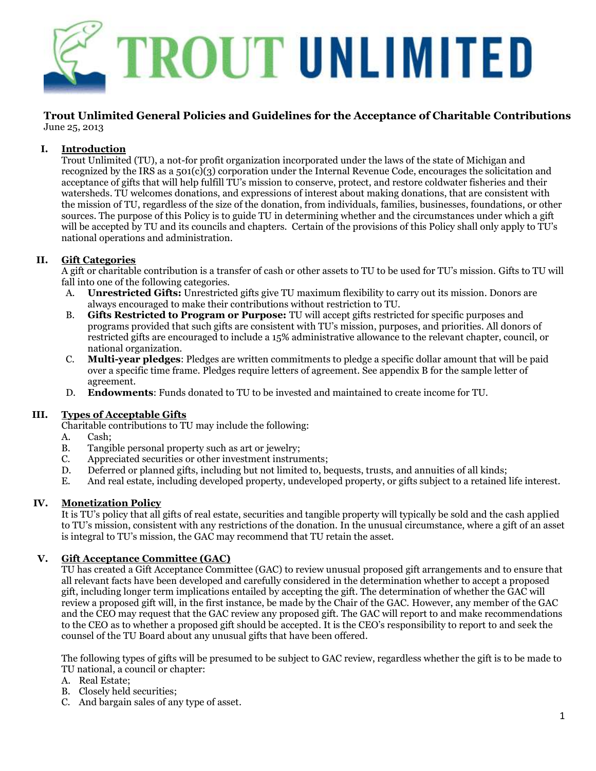

#### **Trout Unlimited General Policies and Guidelines for the Acceptance of Charitable Contributions** June 25, 2013

# **I. Introduction**

Trout Unlimited (TU), a not-for profit organization incorporated under the laws of the state of Michigan and recognized by the IRS as a 501(c)(3) corporation under the Internal Revenue Code, encourages the solicitation and acceptance of gifts that will help fulfill TU's mission to conserve, protect, and restore coldwater fisheries and their watersheds. TU welcomes donations, and expressions of interest about making donations, that are consistent with the mission of TU, regardless of the size of the donation, from individuals, families, businesses, foundations, or other sources. The purpose of this Policy is to guide TU in determining whether and the circumstances under which a gift will be accepted by TU and its councils and chapters. Certain of the provisions of this Policy shall only apply to TU's national operations and administration.

# **II. Gift Categories**

A gift or charitable contribution is a transfer of cash or other assets to TU to be used for TU's mission. Gifts to TU will fall into one of the following categories.

- A. **Unrestricted Gifts:** Unrestricted gifts give TU maximum flexibility to carry out its mission. Donors are always encouraged to make their contributions without restriction to TU.
- B. **Gifts Restricted to Program or Purpose:** TU will accept gifts restricted for specific purposes and programs provided that such gifts are consistent with TU's mission, purposes, and priorities. All donors of restricted gifts are encouraged to include a 15% administrative allowance to the relevant chapter, council, or national organization.
- C. **Multi-year pledges**: Pledges are written commitments to pledge a specific dollar amount that will be paid over a specific time frame. Pledges require letters of agreement. See appendix B for the sample letter of agreement.
- D. **Endowments**: Funds donated to TU to be invested and maintained to create income for TU.

#### **III. Types of Acceptable Gifts**

Charitable contributions to TU may include the following:

- A. Cash;
- B. Tangible personal property such as art or jewelry;
- C. Appreciated securities or other investment instruments;
- D. Deferred or planned gifts, including but not limited to, bequests, trusts, and annuities of all kinds;
- E. And real estate, including developed property, undeveloped property, or gifts subject to a retained life interest.

#### **IV. Monetization Policy**

It is TU's policy that all gifts of real estate, securities and tangible property will typically be sold and the cash applied to TU's mission, consistent with any restrictions of the donation. In the unusual circumstance, where a gift of an asset is integral to TU's mission, the GAC may recommend that TU retain the asset.

#### **V. Gift Acceptance Committee (GAC)**

TU has created a Gift Acceptance Committee (GAC) to review unusual proposed gift arrangements and to ensure that all relevant facts have been developed and carefully considered in the determination whether to accept a proposed gift, including longer term implications entailed by accepting the gift. The determination of whether the GAC will review a proposed gift will, in the first instance, be made by the Chair of the GAC. However, any member of the GAC and the CEO may request that the GAC review any proposed gift. The GAC will report to and make recommendations to the CEO as to whether a proposed gift should be accepted. It is the CEO's responsibility to report to and seek the counsel of the TU Board about any unusual gifts that have been offered.

The following types of gifts will be presumed to be subject to GAC review, regardless whether the gift is to be made to TU national, a council or chapter:

- A. Real Estate;
- B. Closely held securities;
- C. And bargain sales of any type of asset.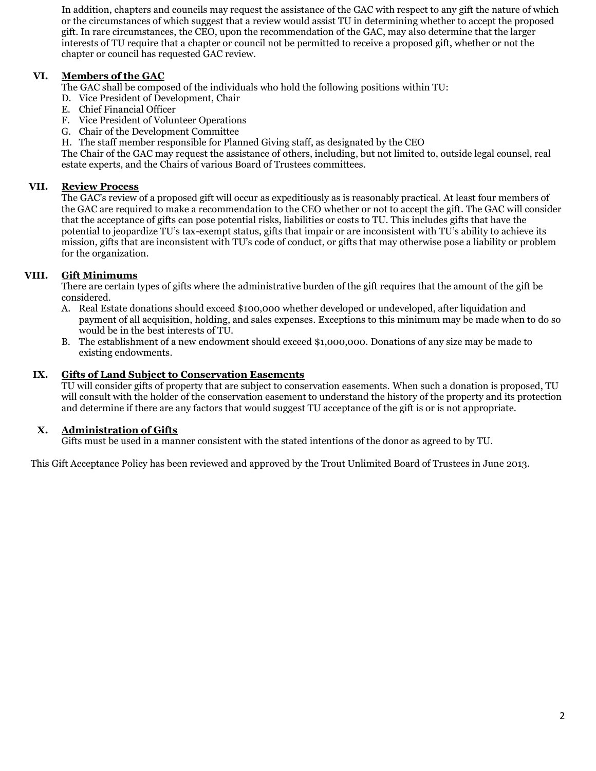In addition, chapters and councils may request the assistance of the GAC with respect to any gift the nature of which or the circumstances of which suggest that a review would assist TU in determining whether to accept the proposed gift. In rare circumstances, the CEO, upon the recommendation of the GAC, may also determine that the larger interests of TU require that a chapter or council not be permitted to receive a proposed gift, whether or not the chapter or council has requested GAC review.

# **VI. Members of the GAC**

The GAC shall be composed of the individuals who hold the following positions within TU:

- D. Vice President of Development, Chair
- E. Chief Financial Officer
- F. Vice President of Volunteer Operations
- G. Chair of the Development Committee
- H. The staff member responsible for Planned Giving staff, as designated by the CEO

The Chair of the GAC may request the assistance of others, including, but not limited to, outside legal counsel, real estate experts, and the Chairs of various Board of Trustees committees.

# **VII. Review Process**

The GAC's review of a proposed gift will occur as expeditiously as is reasonably practical. At least four members of the GAC are required to make a recommendation to the CEO whether or not to accept the gift. The GAC will consider that the acceptance of gifts can pose potential risks, liabilities or costs to TU. This includes gifts that have the potential to jeopardize TU's tax-exempt status, gifts that impair or are inconsistent with TU's ability to achieve its mission, gifts that are inconsistent with TU's code of conduct, or gifts that may otherwise pose a liability or problem for the organization.

# **VIII. Gift Minimums**

There are certain types of gifts where the administrative burden of the gift requires that the amount of the gift be considered.

- A. Real Estate donations should exceed \$100,000 whether developed or undeveloped, after liquidation and payment of all acquisition, holding, and sales expenses. Exceptions to this minimum may be made when to do so would be in the best interests of TU.
- B. The establishment of a new endowment should exceed \$1,000,000. Donations of any size may be made to existing endowments.

#### **IX. Gifts of Land Subject to Conservation Easements**

TU will consider gifts of property that are subject to conservation easements. When such a donation is proposed, TU will consult with the holder of the conservation easement to understand the history of the property and its protection and determine if there are any factors that would suggest TU acceptance of the gift is or is not appropriate.

#### **X. Administration of Gifts**

Gifts must be used in a manner consistent with the stated intentions of the donor as agreed to by TU.

This Gift Acceptance Policy has been reviewed and approved by the Trout Unlimited Board of Trustees in June 2013.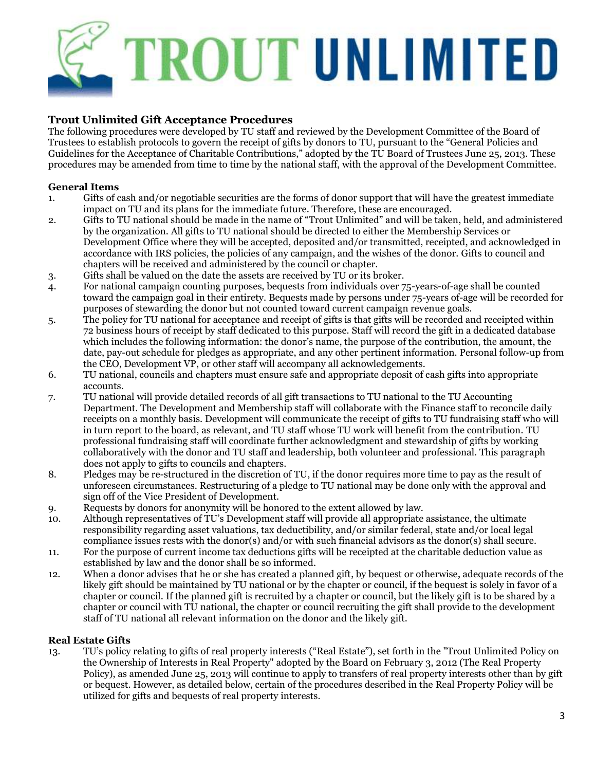# **TROUT UNLIMITED**

# **Trout Unlimited Gift Acceptance Procedures**

The following procedures were developed by TU staff and reviewed by the Development Committee of the Board of Trustees to establish protocols to govern the receipt of gifts by donors to TU, pursuant to the "General Policies and Guidelines for the Acceptance of Charitable Contributions," adopted by the TU Board of Trustees June 25, 2013. These procedures may be amended from time to time by the national staff, with the approval of the Development Committee.

# **General Items**

- 1. Gifts of cash and/or negotiable securities are the forms of donor support that will have the greatest immediate impact on TU and its plans for the immediate future. Therefore, these are encouraged.
- 2. Gifts to TU national should be made in the name of "Trout Unlimited" and will be taken, held, and administered by the organization. All gifts to TU national should be directed to either the Membership Services or Development Office where they will be accepted, deposited and/or transmitted, receipted, and acknowledged in accordance with IRS policies, the policies of any campaign, and the wishes of the donor. Gifts to council and chapters will be received and administered by the council or chapter.
- 3. Gifts shall be valued on the date the assets are received by TU or its broker.
- 4. For national campaign counting purposes, bequests from individuals over 75-years-of-age shall be counted toward the campaign goal in their entirety. Bequests made by persons under 75-years of-age will be recorded for purposes of stewarding the donor but not counted toward current campaign revenue goals.
- 5. The policy for TU national for acceptance and receipt of gifts is that gifts will be recorded and receipted within 72 business hours of receipt by staff dedicated to this purpose. Staff will record the gift in a dedicated database which includes the following information: the donor's name, the purpose of the contribution, the amount, the date, pay-out schedule for pledges as appropriate, and any other pertinent information. Personal follow-up from the CEO, Development VP, or other staff will accompany all acknowledgements.
- 6. TU national, councils and chapters must ensure safe and appropriate deposit of cash gifts into appropriate accounts.
- 7. TU national will provide detailed records of all gift transactions to TU national to the TU Accounting Department. The Development and Membership staff will collaborate with the Finance staff to reconcile daily receipts on a monthly basis. Development will communicate the receipt of gifts to TU fundraising staff who will in turn report to the board, as relevant, and TU staff whose TU work will benefit from the contribution. TU professional fundraising staff will coordinate further acknowledgment and stewardship of gifts by working collaboratively with the donor and TU staff and leadership, both volunteer and professional. This paragraph does not apply to gifts to councils and chapters.
- 8. Pledges may be re-structured in the discretion of TU, if the donor requires more time to pay as the result of unforeseen circumstances. Restructuring of a pledge to TU national may be done only with the approval and sign off of the Vice President of Development.
- 9. Requests by donors for anonymity will be honored to the extent allowed by law.
- 10. Although representatives of TU's Development staff will provide all appropriate assistance, the ultimate responsibility regarding asset valuations, tax deductibility, and/or similar federal, state and/or local legal compliance issues rests with the donor(s) and/or with such financial advisors as the donor(s) shall secure.
- 11. For the purpose of current income tax deductions gifts will be receipted at the charitable deduction value as established by law and the donor shall be so informed.
- 12. When a donor advises that he or she has created a planned gift, by bequest or otherwise, adequate records of the likely gift should be maintained by TU national or by the chapter or council, if the bequest is solely in favor of a chapter or council. If the planned gift is recruited by a chapter or council, but the likely gift is to be shared by a chapter or council with TU national, the chapter or council recruiting the gift shall provide to the development staff of TU national all relevant information on the donor and the likely gift.

# **Real Estate Gifts**

13. TU's policy relating to gifts of real property interests ("Real Estate"), set forth in the "Trout Unlimited Policy on the Ownership of Interests in Real Property" adopted by the Board on February 3, 2012 (The Real Property Policy), as amended June 25, 2013 will continue to apply to transfers of real property interests other than by gift or bequest. However, as detailed below, certain of the procedures described in the Real Property Policy will be utilized for gifts and bequests of real property interests.